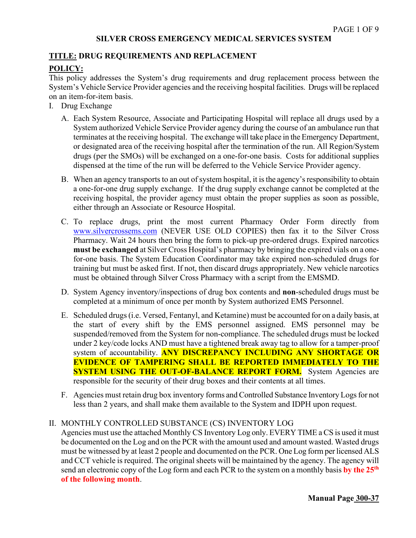## **SILVER CROSS EMERGENCY MEDICAL SERVICES SYSTEM**

#### **TITLE: DRUG REQUIREMENTS AND REPLACEMENT**

# **POLICY:**

This policy addresses the System's drug requirements and drug replacement process between the System's Vehicle Service Provider agencies and the receiving hospital facilities. Drugs will be replaced on an item-for-item basis.

- I. Drug Exchange
	- A. Each System Resource, Associate and Participating Hospital will replace all drugs used by a System authorized Vehicle Service Provider agency during the course of an ambulance run that terminates at the receiving hospital. The exchange will take place in the Emergency Department, or designated area of the receiving hospital after the termination of the run. All Region/System drugs (per the SMOs) will be exchanged on a one-for-one basis. Costs for additional supplies dispensed at the time of the run will be deferred to the Vehicle Service Provider agency.
	- B. When an agency transports to an out of system hospital, it is the agency's responsibility to obtain a one-for-one drug supply exchange. If the drug supply exchange cannot be completed at the receiving hospital, the provider agency must obtain the proper supplies as soon as possible, either through an Associate or Resource Hospital.
	- C. To replace drugs, print the most current Pharmacy Order Form directly from [www.silvercrossems.com](http://www.silvercrossems.com/) (NEVER USE OLD COPIES) then fax it to the Silver Cross Pharmacy. Wait 24 hours then bring the form to pick-up pre-ordered drugs. Expired narcotics **must be exchanged** at Silver Cross Hospital's pharmacy by bringing the expired vials on a onefor-one basis. The System Education Coordinator may take expired non-scheduled drugs for training but must be asked first. If not, then discard drugs appropriately. New vehicle narcotics must be obtained through Silver Cross Pharmacy with a script from the EMSMD.
	- D. System Agency inventory/inspections of drug box contents and **non**-scheduled drugs must be completed at a minimum of once per month by System authorized EMS Personnel.
	- E. Scheduled drugs(i.e. Versed, Fentanyl, and Ketamine) must be accounted for on a daily basis, at the start of every shift by the EMS personnel assigned. EMS personnel may be suspended/removed from the System for non-compliance. The scheduled drugs must be locked under 2 key/code locks AND must have a tightened break away tag to allow for a tamper-proof system of accountability. **ANY DISCREPANCY INCLUDING ANY SHORTAGE OR EVIDENCE OF TAMPERING SHALL BE REPORTED IMMEDIATELY TO THE SYSTEM USING THE OUT-OF-BALANCE REPORT FORM.** System Agencies are responsible for the security of their drug boxes and their contents at all times.
	- F. Agencies must retain drug box inventory forms and Controlled Substance Inventory Logs for not less than 2 years, and shall make them available to the System and IDPH upon request.

#### II. MONTHLY CONTROLLED SUBSTANCE (CS) INVENTORY LOG

Agencies must use the attached Monthly CS Inventory Log only. EVERY TIME a CS is used it must be documented on the Log and on the PCR with the amount used and amount wasted. Wasted drugs must be witnessed by at least 2 people and documented on the PCR. One Log form per licensed ALS and CCT vehicle is required. The original sheets will be maintained by the agency. The agency will send an electronic copy of the Log form and each PCR to the system on a monthly basis **by the 25th of the following month**.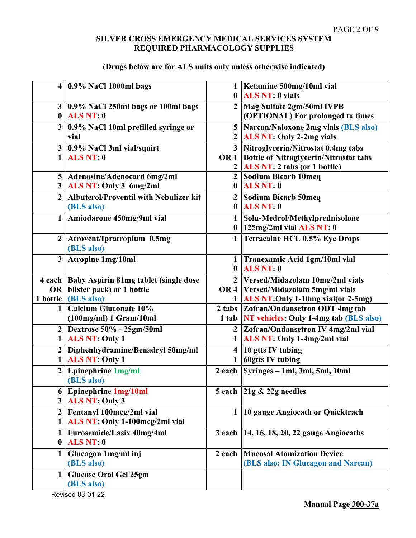# **SILVER CROSS EMERGENCY MEDICAL SERVICES SYSTEM REQUIRED PHARMACOLOGY SUPPLIES**

# **(Drugs below are for ALS units only unless otherwise indicated)**

|                  | $4 \mid 0.9\%$ NaCl 1000ml bags                | 1                | Ketamine 500mg/10ml vial                       |
|------------------|------------------------------------------------|------------------|------------------------------------------------|
|                  |                                                | $\mathbf{0}$     | <b>ALS NT: 0 vials</b>                         |
|                  | $3 \mid 0.9\%$ NaCl 250ml bags or 100ml bags   | $\mathbf{2}$     | Mag Sulfate 2gm/50ml IVPB                      |
| $\mathbf{0}$     | <b>ALS NT: 0</b>                               |                  | (OPTIONAL) For prolonged tx times              |
| 3 <sup>1</sup>   | 0.9% NaCl 10ml prefilled syringe or            | 5                | Narcan/Naloxone 2mg vials (BLS also)           |
|                  | vial                                           | $\boldsymbol{2}$ | <b>ALS NT: Only 2-2mg vials</b>                |
|                  | $3$   0.9% NaCl 3ml vial/squirt                |                  | 3   Nitroglycerin/Nitrostat 0.4mg tabs         |
| $\mathbf{1}$     | <b>ALS NT: 0</b>                               |                  | OR 1   Bottle of Nitroglycerin/Nitrostat tabs  |
|                  |                                                | $\boldsymbol{2}$ | ALS NT: 2 tabs (or 1 bottle)                   |
| 5 <sup>5</sup>   | Adenosine/Adenocard 6mg/2ml                    | $\overline{2}$   | Sodium Bicarb 10meq                            |
| 3 <sup>1</sup>   | ALS NT: Only 3 6mg/2ml                         | $\bf{0}$         | <b>ALS NT: 0</b>                               |
| $\overline{2}$   | <b>Albuterol/Proventil with Nebulizer kit</b>  |                  | 2 Sodium Bicarb 50meq                          |
|                  | (BLS also)                                     |                  | $0$ ALS NT: $0$                                |
| $\mathbf{1}$     | Amiodarone 450mg/9ml vial                      | 1                | Solu-Medrol/Methylprednisolone                 |
|                  |                                                | $\bf{0}$         | $125mg/2ml$ vial ALS NT: 0                     |
| $\overline{2}$   | Atrovent/Ipratropium 0.5mg                     |                  | 1 Tetracaine HCL 0.5% Eye Drops                |
|                  | (BLS also)                                     |                  |                                                |
| 3 <sup>1</sup>   | <b>Atropine 1mg/10ml</b>                       |                  | 1 Tranexamic Acid 1gm/10ml vial                |
|                  |                                                |                  | $0$ ALS NT: $0$                                |
|                  | 4 each   Baby Aspirin 81mg tablet (single dose |                  | 2 Versed/Midazolam 10mg/2ml vials              |
| OR               | blister pack) or 1 bottle                      |                  | OR 4   Versed/Midazolam 5mg/ml vials           |
| 1 bottle         | (BLS also)                                     | 1                | ALS NT: Only 1-10mg vial (or 2-5mg)            |
| $\mathbf{1}$     | <b>Calcium Gluconate 10%</b>                   |                  | 2 tabs Zofran/Ondansetron ODT 4mg tab          |
|                  | (100mg/ml) 1 Gram/10ml                         |                  | 1 tab   NT vehicles: Only 1-4mg tab (BLS also) |
|                  | 2 Dextrose 50% - 25gm/50ml                     | $\mathbf{2}$     | Zofran/Ondansetron IV 4mg/2ml vial             |
|                  | <b>ALS NT: Only 1</b>                          |                  | ALS NT: Only 1-4mg/2ml vial                    |
| $\overline{2}$   | Diphenhydramine/Benadryl 50mg/ml               | $\overline{4}$   | 10 gtts IV tubing                              |
| 1                | <b>ALS NT: Only 1</b>                          | 1                | <b>60gtts IV tubing</b>                        |
| $\overline{2}$   | Epinephrine 1mg/ml                             | $2$ each         | Syringes - 1ml, 3ml, 5ml, 10ml                 |
|                  | (BLS also)                                     |                  |                                                |
| 6                | Epinephrine 1mg/10ml                           |                  | 5 each $21g \& 22g$ needles                    |
| 3 <sup>1</sup>   | <b>ALS NT: Only 3</b>                          |                  |                                                |
| $\overline{2}$   | Fentanyl 100mcg/2ml vial                       | 1                | 10 gauge Angiocath or Quicktrach               |
|                  | ALS NT: Only 1-100mcg/2ml vial                 |                  |                                                |
|                  | Furosemide/Lasix 40mg/4ml                      | $3$ each $ $     | 14, 16, 18, 20, 22 gauge Angiocaths            |
| $\boldsymbol{0}$ | <b>ALS NT: 0</b>                               |                  |                                                |
|                  | Glucagon 1mg/ml inj                            |                  | 2 each   Mucosal Atomization Device            |
|                  | (BLS also)                                     |                  | (BLS also: IN Glucagon and Narcan)             |
| $\mathbf{1}$     | <b>Glucose Oral Gel 25gm</b>                   |                  |                                                |
|                  | (BLS also)                                     |                  |                                                |
|                  |                                                |                  |                                                |

Revised 03-01-22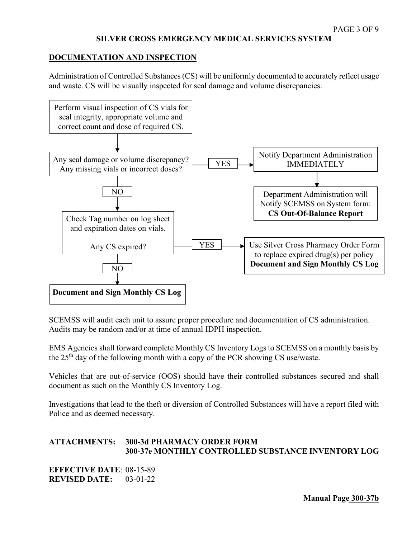### **DOCUMENTATION AND INSPECTION**

Administration of Controlled Substances (CS) will be uniformly documented to accurately reflect usage and waste. CS will be visually inspected for seal damage and volume discrepancies.



SCEMSS will audit each unit to assure proper procedure and documentation of CS administration. Audits may be random and/or at time of annual IDPH inspection.

EMS Agencies shall forward complete Monthly CS Inventory Logs to SCEMSS on a monthly basis by the 25th day of the following month with a copy of the PCR showing CS use/waste.

Vehicles that are out-of-service (OOS) should have their controlled substances secured and shall document as such on the Monthly CS Inventory Log.

Investigations that lead to the theft or diversion of Controlled Substances will have a report filed with Police and as deemed necessary.

# **ATTACHMENTS: 300-3d PHARMACY ORDER FORM 300-37e MONTHLY CONTROLLED SUBSTANCE INVENTORY LOG**

**EFFECTIVE DATE**: 08-15-89 **REVISED DATE:** 03-01-22